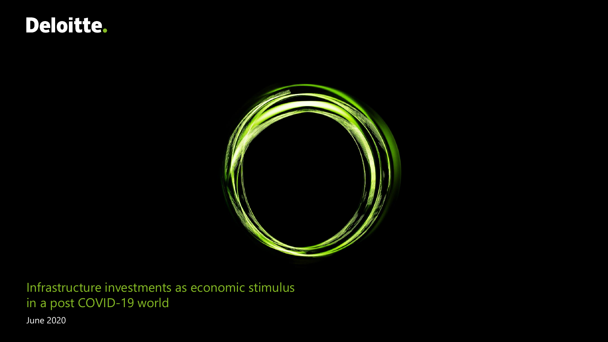# Deloitte.



Infrastructure investments as economic stimulus in a post COVID-19 world

June 2020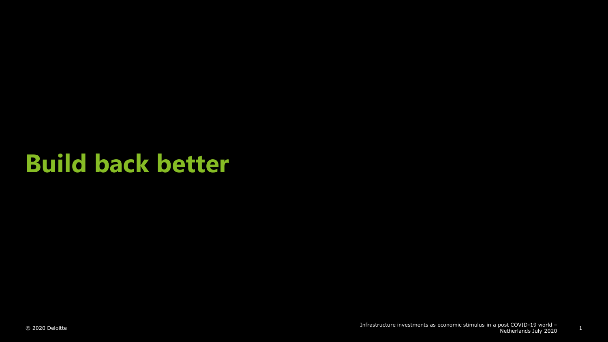# **Build back better**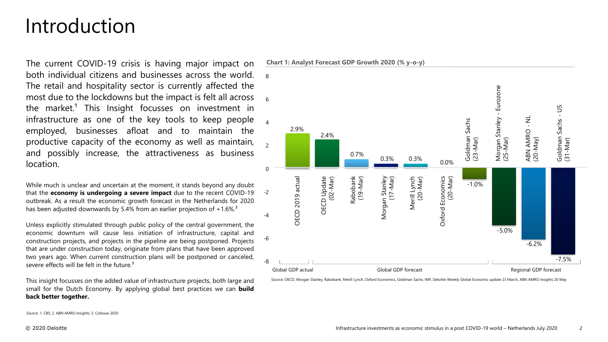## Introduction

The current COVID-19 crisis is having major impact on both individual citizens and businesses across the world. The retail and hospitality sector is currently affected the most due to the lockdowns but the impact is felt all across the market.<sup>1</sup> This Insight focusses on investment in infrastructure as one of the key tools to keep people employed, businesses afloat and to maintain the productive capacity of the economy as well as maintain, and possibly increase, the attractiveness as business location.

While much is unclear and uncertain at the moment, it stands beyond any doubt that the **economy is undergoing a severe impact** due to the recent COVID-19 -2 outbreak. As a result the economic growth forecast in the Netherlands for 2020 has been adjusted downwards by 5.4% from an earlier projection of +1.6%.<sup>2</sup>

Unless explicitly stimulated through public policy of the central government, the economic downturn will cause less initiation of infrastructure, capital and construction projects, and projects in the pipeline are being postponed. Projects that are under construction today, originate from plans that have been approved two years ago. When current construction plans will be postponed or canceled, severe effects will be felt in the future.<sup>3</sup>

This insight focusses on the added value of infrastructure projects, both large and small for the Dutch Economy. By applying global best practices we can **build back better together.**

**Chart 1: Analyst Forecast GDP Growth 2020 (% y-o-y)**



Source: OECD, Morgan Stanley, Rabobank, Merill Lynch, Oxford Economics, Goldman Sachs, IMF, Deloitte Weekly Global Economic update 23 March, ABN AMRO Insights 20 May

Source: 1. CBS; 2. ABN AMRO Insights; 3. Cobouw 2020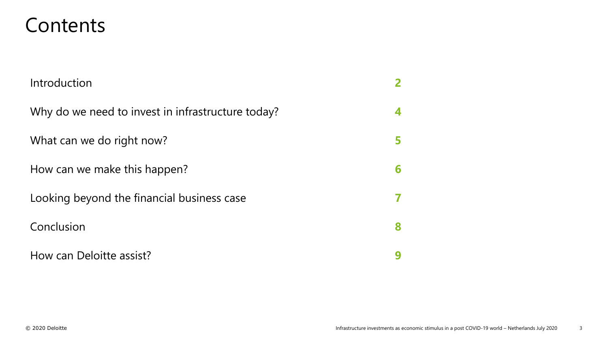## Contents

| Introduction                                      |   |
|---------------------------------------------------|---|
| Why do we need to invest in infrastructure today? | 4 |
| What can we do right now?                         | 5 |
| How can we make this happen?                      | 6 |
| Looking beyond the financial business case        |   |
| Conclusion                                        | 8 |
| How can Deloitte assist?                          |   |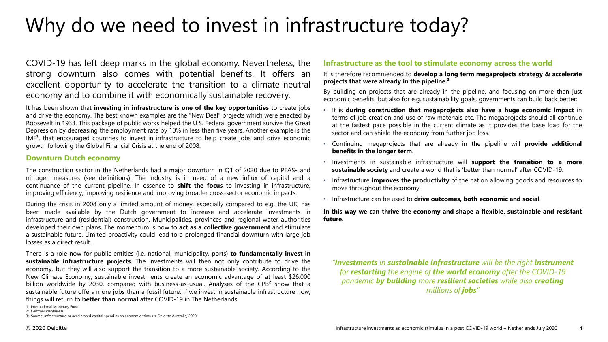# Why do we need to invest in infrastructure today?

COVID-19 has left deep marks in the global economy. Nevertheless, the strong downturn also comes with potential benefits. It offers an excellent opportunity to accelerate the transition to a climate-neutral economy and to combine it with economically sustainable recovery.

It has been shown that **investing in infrastructure is one of the key opportunities** to create jobs and drive the economy. The best known examples are the "New Deal" projects which were enacted by Roosevelt in 1933. This package of public works helped the U.S. Federal government survive the Great Depression by decreasing the employment rate by 10% in less then five years. Another example is the IMF<sup>1</sup>, that encouraged countries to invest in infrastructure to help create jobs and drive economic growth following the Global Financial Crisis at the end of 2008.

### **Downturn Dutch economy**

The construction sector in the Netherlands had a major downturn in Q1 of 2020 due to PFAS- and nitrogen measures (see definitions). The industry is in need of a new influx of capital and a continuance of the current pipeline. In essence to **shift the focus** to investing in infrastructure, improving efficiency, improving resilience and improving broader cross-sector economic impacts.

During the crisis in 2008 only a limited amount of money, especially compared to e.g. the UK, has been made available by the Dutch government to increase and accelerate investments in infrastructure and (residential) construction. Municipalities, provinces and regional water authorities developed their own plans. The momentum is now to **act as a collective government** and stimulate a sustainable future. Limited proactivity could lead to a prolonged financial downturn with large job losses as a direct result.

There is a role now for public entities (i.e. national, municipality, ports) **to fundamentally invest in sustainable infrastructure projects**. The investments will then not only contribute to drive the economy, but they will also support the transition to a more sustainable society. According to the New Climate Economy, sustainable investments create an economic advantage of at least \$26.000 billion worldwide by 2030, compared with business-as-usual. Analyses of the CPB<sup>2</sup> show that a sustainable future offers more jobs than a fossil future. If we invest in sustainable infrastructure now, things will return to **better than normal** after COVID-19 in The Netherlands.

3: Source: Infrastructure or accelerated capital spend as an economic stimulus, Deloitte Australia, 2020

### **Infrastructure as the tool to stimulate economy across the world**

It is therefore recommended to **develop a long term megaprojects strategy & accelerate projects that were already in the pipeline.³**

By building on projects that are already in the pipeline, and focusing on more than just economic benefits, but also for e.g. sustainability goals, governments can build back better:

- It is **during construction that megaprojects also have a huge economic impact** in terms of job creation and use of raw materials etc. The megaprojects should all continue at the fastest pace possible in the current climate as it provides the base load for the sector and can shield the economy from further job loss.
- Continuing megaprojects that are already in the pipeline will **provide additional benefits in the longer term**.
- Investments in sustainable infrastructure will **support the transition to a more sustainable society** and create a world that is 'better than normal' after COVID-19.
- Infrastructure **improves the productivity** of the nation allowing goods and resources to move throughout the economy.
- Infrastructure can be used to **drive outcomes, both economic and social**.

**In this way we can thrive the economy and shape a flexible, sustainable and resistant future.**

*"Investments in sustainable infrastructure will be the right instrument for restarting the engine of the world economy after the COVID-19 pandemic by building more resilient societies while also creating millions of jobs"*

<sup>1:</sup> International Monetary Fund

<sup>2:</sup> Centraal Planbureau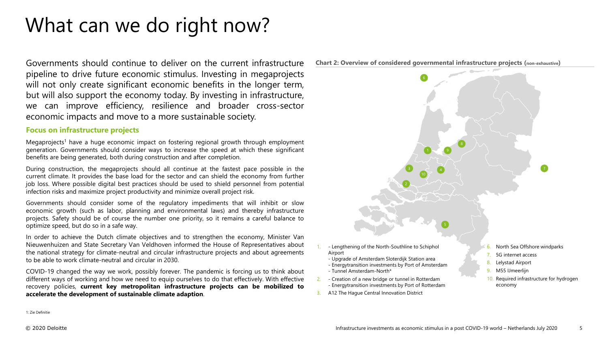# What can we do right now?

Governments should continue to deliver on the current infrastructure pipeline to drive future economic stimulus. Investing in megaprojects will not only create significant economic benefits in the longer term, but will also support the economy today. By investing in infrastructure, can improve efficiency, resilience and broader cross-sector economic impacts and move to a more sustainable society.

#### **Focus on infrastructure projects**

Megaprojects<sup>1</sup> have a huge economic impact on fostering regional growth through employment generation. Governments should consider ways to increase the speed at which these significant benefits are being generated, both during construction and after completion.

During construction, the megaprojects should all continue at the fastest pace possible in the current climate. It provides the base load for the sector and can shield the economy from further job loss. Where possible digital best practices should be used to shield personnel from potential infection risks and maximize project productivity and minimize overall project risk.

Governments should consider some of the regulatory impediments that will inhibit or slow economic growth (such as labor, planning and environmental laws) and thereby infrastructure projects. Safety should be of course the number one priority, so it remains a careful balance to optimize speed, but do so in a safe way.

In order to achieve the Dutch climate objectives and to strengthen the economy, Minister Van Nieuwenhuizen and State Secretary Van Veldhoven informed the House of Representatives about the national strategy for climate-neutral and circular infrastructure projects and about agreements to be able to work climate-neutral and circular in 2030.

COVID-19 changed the way we work, possibly forever. The pandemic is forcing us to think about different ways of working and how we need to equip ourselves to do that effectively. With effective recovery policies, **current key metropolitan infrastructure projects can be mobilized to accelerate the development of sustainable climate adaption**.



1: Zie Definitie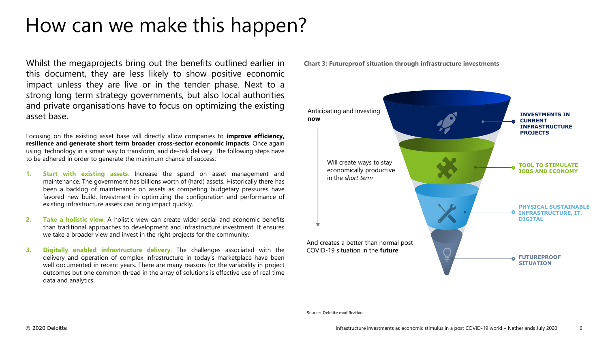# How can we make this happen?

Whilst the megaprojects bring out the benefits outlined earlier in Chart 3: Futureproof situation through infrastructure investments this document, they are less likely to show positive economic impact unless they are live or in the tender phase. Next to a strong long term strategy governments, but also local authorities and private organisations have to focus on optimizing the existing asset base.

Focusing on the existing asset base will directly allow companies to **improve efficiency, resilience and generate short term broader cross-sector economic impacts**. Once again using technology in a smart way to transform, and de-risk delivery. The following steps have to be adhered in order to generate the maximum chance of success:

- **1. Start with existing assets**. Increase the spend on asset management and maintenance. The government has billions worth of (hard) assets. Historically there has been a backlog of maintenance on assets as competing budgetary pressures have favored new build. Investment in optimizing the configuration and performance of existing infrastructure assets can bring impact quickly.
- **2. Take a holistic view**. A holistic view can create wider social and economic benefits than traditional approaches to development and infrastructure investment. It ensures we take a broader view and invest in the right projects for the community.
- **3. Digitally enabled infrastructure delivery**. The challenges associated with the delivery and operation of complex infrastructure in today's marketplace have been well documented in recent years. There are many reasons for the variability in project outcomes but one common thread in the array of solutions is effective use of real time data and analytics.



Source: Deloitte modification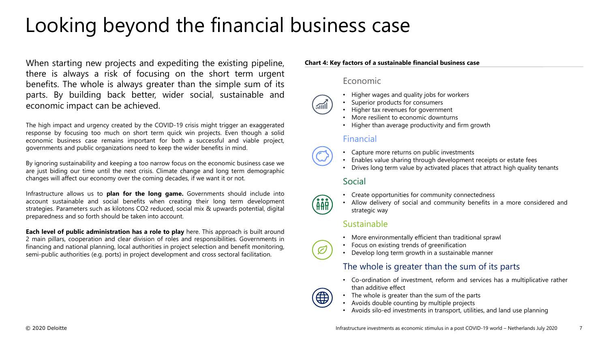# Looking beyond the financial business case

When starting new projects and expediting the existing pipeline, there is always a risk of focusing on the short term urgent benefits. The whole is always greater than the simple sum of its parts. By building back better, wider social, sustainable and economic impact can be achieved.

The high impact and urgency created by the COVID-19 crisis might trigger an exaggerated response by focusing too much on short term quick win projects. Even though a solid economic business case remains important for both a successful and viable project, governments and public organizations need to keep the wider benefits in mind.

By ignoring sustainability and keeping a too narrow focus on the economic business case we are just biding our time until the next crisis. Climate change and long term demographic changes will affect our economy over the coming decades, if we want it or not.

Infrastructure allows us to **plan for the long game.** Governments should include into account sustainable and social benefits when creating their long term development strategies. Parameters such as kilotons CO2 reduced, social mix & upwards potential, digital preparedness and so forth should be taken into account.

**Each level of public administration has a role to play** here. This approach is built around 2 main pillars, cooperation and clear division of roles and responsibilities. Governments in financing and national planning, local authorities in project selection and benefit monitoring, semi-public authorities (e.g. ports) in project development and cross sectoral facilitation.

### **Chart 4: Key factors of a sustainable financial business case**

### Economic

- Higher wages and quality jobs for workers
- Superior products for consumers
- Higher tax revenues for government
- More resilient to economic downturns
- Higher than average productivity and firm growth

## Financial

- Capture more returns on public investments
- Enables value sharing through development receipts or estate fees
- Drives long term value by activated places that attract high quality tenants

### Social

- Create opportunities for community connectedness
- Allow delivery of social and community benefits in a more considered and strategic way

### Sustainable

- More environmentally efficient than traditional sprawl
- Focus on existing trends of greenification
- Develop long term growth in a sustainable manner

### The whole is greater than the sum of its parts

- Co-ordination of investment, reform and services has a multiplicative rather than additive effect
- The whole is greater than the sum of the parts
- Avoids double counting by multiple projects
- Avoids silo-ed investments in transport, utilities, and land use planning



888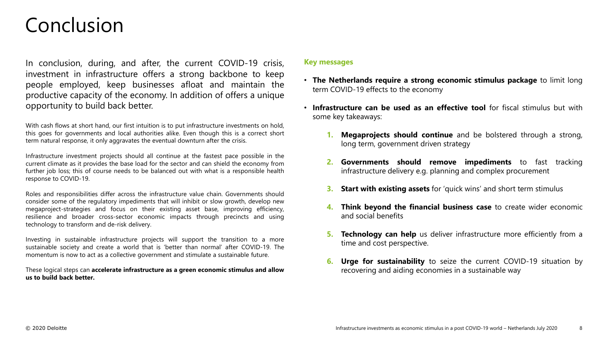## Conclusion

In conclusion, during, and after, the current COVID-19 crisis, investment in infrastructure offers a strong backbone to keep people employed, keep businesses afloat and maintain the productive capacity of the economy. In addition of offers a unique opportunity to build back better.

With cash flows at short hand, our first intuition is to put infrastructure investments on hold, this goes for governments and local authorities alike. Even though this is a correct short term natural response, it only aggravates the eventual downturn after the crisis.

Infrastructure investment projects should all continue at the fastest pace possible in the current climate as it provides the base load for the sector and can shield the economy from further job loss; this of course needs to be balanced out with what is a responsible health response to COVID-19.

Roles and responsibilities differ across the infrastructure value chain. Governments should consider some of the regulatory impediments that will inhibit or slow growth, develop new megaproject-strategies and focus on their existing asset base, improving efficiency, resilience and broader cross-sector economic impacts through precincts and using technology to transform and de-risk delivery.

Investing in sustainable infrastructure projects will support the transition to a more sustainable society and create a world that is 'better than normal' after COVID-19. The momentum is now to act as a collective government and stimulate a sustainable future.

These logical steps can **accelerate infrastructure as a green economic stimulus and allow us to build back better.**

### **Key messages**

- **The Netherlands require a strong economic stimulus package** to limit long term COVID-19 effects to the economy
- **Infrastructure can be used as an effective tool** for fiscal stimulus but with some key takeaways:
	- **1. Megaprojects should continue** and be bolstered through a strong, long term, government driven strategy
	- **2. Governments should remove impediments** to fast tracking infrastructure delivery e.g. planning and complex procurement
	- **3. Start with existing assets** for 'quick wins' and short term stimulus
	- **4. Think beyond the financial business case** to create wider economic and social benefits
	- **5. Technology can help** us deliver infrastructure more efficiently from a time and cost perspective.
	- **6. Urge for sustainability** to seize the current COVID-19 situation by recovering and aiding economies in a sustainable way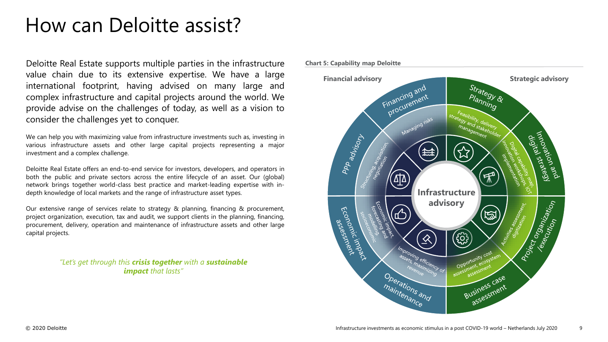## How can Deloitte assist?

Deloitte Real Estate supports multiple parties in the infrastructure value chain due to its extensive expertise. We have a large international footprint, having advised on many large and complex infrastructure and capital projects around the world. We provide advise on the challenges of today, as well as a vision to consider the challenges yet to conquer.

We can help you with maximizing value from infrastructure investments such as, investing in various infrastructure assets and other large capital projects representing a major investment and a complex challenge.

Deloitte Real Estate offers an end-to-end service for investors, developers, and operators in both the public and private sectors across the entire lifecycle of an asset. Our (global) network brings together world-class best practice and market-leading expertise with indepth knowledge of local markets and the range of infrastructure asset types.

Our extensive range of services relate to strategy & planning, financing & procurement, project organization, execution, tax and audit, we support clients in the planning, financing, procurement, delivery, operation and maintenance of infrastructure assets and other large capital projects.

> *"Let's get through this crisis together with a sustainable impact that lasts"*

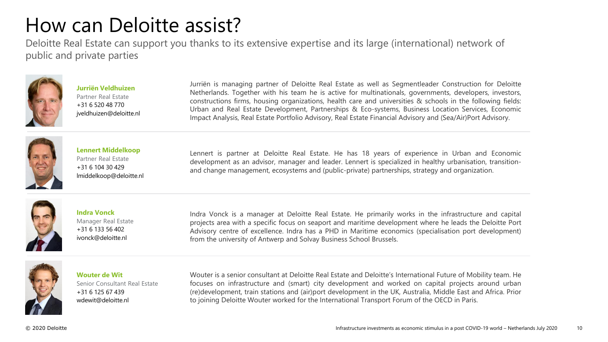# How can Deloitte assist?

Deloitte Real Estate can support you thanks to its extensive expertise and its large (international) network of public and private parties



**Jurriën Veldhuizen** Partner Real Estate +31 6 520 48 770 jveldhuizen@deloitte.nl Jurriën is managing partner of Deloitte Real Estate as well as Segmentleader Construction for Deloitte Netherlands. Together with his team he is active for multinationals, governments, developers, investors, constructions firms, housing organizations, health care and universities & schools in the following fields: Urban and Real Estate Development, Partnerships & Eco-systems, Business Location Services, Economic Impact Analysis, Real Estate Portfolio Advisory, Real Estate Financial Advisory and (Sea/Air)Port Advisory.



**Lennert Middelkoop** Partner Real Estate +31 6 104 30 429 lmiddelkoop@deloitte.nl

Lennert is partner at Deloitte Real Estate. He has 18 years of experience in Urban and Economic development as an advisor, manager and leader. Lennert is specialized in healthy urbanisation, transitionand change management, ecosystems and (public-private) partnerships, strategy and organization.



#### **Indra Vonck** Manager Real Estate +31 6 133 56 402 ivonck@deloitte.nl

Indra Vonck is a manager at Deloitte Real Estate. He primarily works in the infrastructure and capital projects area with a specific focus on seaport and maritime development where he leads the Deloitte Port Advisory centre of excellence. Indra has a PHD in Maritime economics (specialisation port development) from the university of Antwerp and Solvay Business School Brussels.



**Wouter de Wit** Senior Consultant Real Estate +31 6 125 67 439 wdewit@deloitte.nl

Wouter is a senior consultant at Deloitte Real Estate and Deloitte's International Future of Mobility team. He focuses on infrastructure and (smart) city development and worked on capital projects around urban (re)development, train stations and (air)port development in the UK, Australia, Middle East and Africa. Prior to joining Deloitte Wouter worked for the International Transport Forum of the OECD in Paris.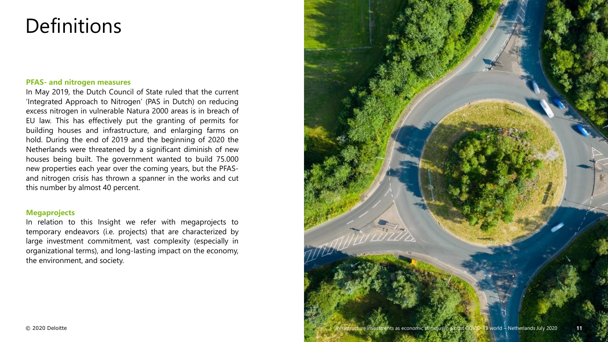## Definitions

### **PFAS- and nitrogen measures**

In May 2019, the Dutch Council of State ruled that the current 'Integrated Approach to Nitrogen' (PAS in Dutch) on reducing excess nitrogen in vulnerable Natura 2000 areas is in breach of EU law. This has effectively put the granting of permits for building houses and infrastructure, and enlarging farms on hold. During the end of 2019 and the beginning of 2020 the Netherlands were threatened by a significant diminish of new houses being built. The government wanted to build 75.000 new properties each year over the coming years, but the PFASand nitrogen crisis has thrown a spanner in the works and cut this number by almost 40 percent.

### **Megaprojects**

In relation to this Insight we refer with megaprojects to temporary endeavors (i.e. projects) that are characterized by large investment commitment, vast complexity (especially in organizational terms), and long-lasting impact on the economy, the environment, and society.